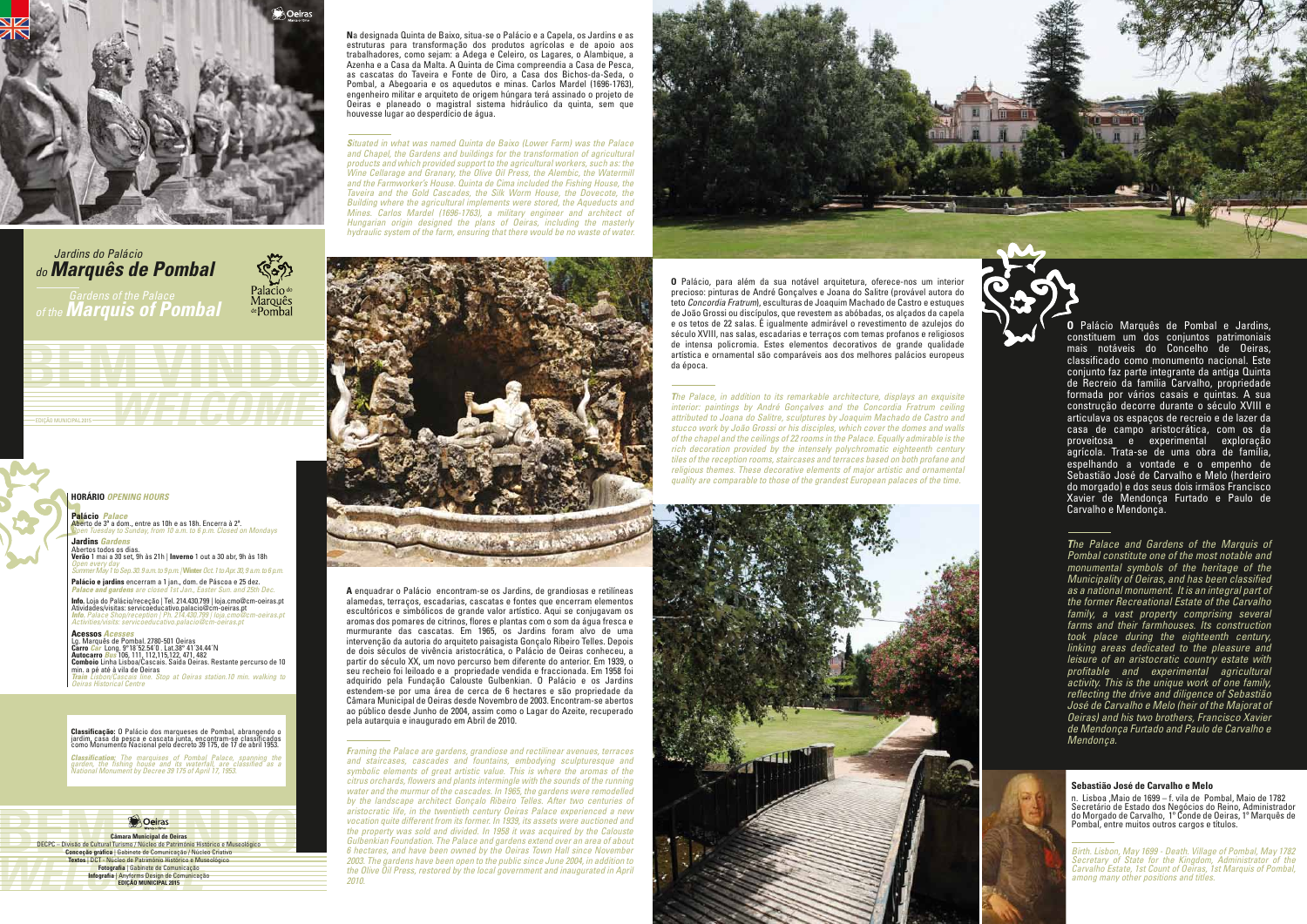n. Lisboa ,Maio de 1699 – f. vila de Pombal, Maio de 1782 Secretário de Estado dos Negócios do Reino, Administrador do Morgado de Carvalho, 1º Conde de Oeiras, 1º Marquês de Pombal, entre muitos outros cargos e títulos.

*Birth. Lisbon, May 1699 - Death. Village of Pombal, May 1782 Secretary of State for the Kingdom, Administrator of the Carvalho Estate, 1st Count of Oeiras, 1st Marquis of Pombal, among many other positions and titles.*

# **Sebastião José de Carvalho e Melo**

**O** Palácio Marquês de Pombal e Jardins, constituem um dos conjuntos patrimoniais mais notáveis do Concelho de Oeiras, classificado como monumento nacional. Este conjunto faz parte integrante da antiga Quinta de Recreio da família Carvalho, propriedade formada por vários casais e quintas. A sua construção decorre durante o século XVIII e articulava os espaços de recreio e de lazer da casa de campo aristocrática, com os da proveitosa e experimental exploração agrícola. Trata-se de uma obra de família, espelhando a vontade e o empenho de Sebastião José de Carvalho e Melo (herdeiro do morgado) e dos seus dois irmãos Francisco Xavier de Mendonça Furtado e Paulo de Carvalho e Mendonça.

*The Palace and Gardens of the Marquis of Pombal constitute one of the most notable and monumental symbols of the heritage of the Municipality of Oeiras, and has been classified as a national monument. It is an integral part of the former Recreational Estate of the Carvalho family, a vast property comprising several farms and their farmhouses. Its construction took place during the eighteenth century, linking areas dedicated to the pleasure and leisure of an aristocratic country estate with profitable and experimental agricultural activity. This is the unique work of one family, reflecting the drive and diligence of Sebastião José de Carvalho e Melo (heir of the Majorat of Oeiras) and his two brothers, Francisco Xavier de Mendonça Furtado and Paulo de Carvalho e Mendonça.*



**N**a designada Quinta de Baixo, situa-se o Palácio e a Capela, os Jardins e as estruturas para transformação dos produtos agrícolas e de apoio aos trabalhadores, como sejam: a Adega e Celeiro, os Lagares, o Alambique, a Azenha e a Casa da Malta. A Quinta de Cima compreendia a Casa de Pesca, as cascatas do Taveira e Fonte de Oiro, a Casa dos Bichos-da-Seda, o Pombal, a Abegoaria e os aquedutos e minas. Carlos Mardel (1696-1763), engenheiro militar e arquiteto de origem húngara terá assinado o projeto de Oeiras e planeado o magistral sistema hidráulico da quinta, sem que houvesse lugar ao desperdício de água.

*Situated in what was named Quinta de Baixo (Lower Farm) was the Palace*  and Chapel, the Gardens and buildings for the transformation of agricultural *products and which provided support to the agricultural workers, such as: the Wine Cellarage and Granary, the Olive Oil Press, the Alembic, the Watermill and the Farmworker's House. Quinta de Cima included the Fishing House, the Taveira and the Gold Cascades, the Silk Worm House, the Dovecote, the Building where the agricultural implements were stored, the Aqueducts and Mines. Carlos Mardel (1696-1763), a military engineer and architect of Hungarian origin designed the plans of Oeiras, including the masterly hydraulic system of the farm, ensuring that there would be no waste of water.*



**BECPC** – Divisão de Chimara Municipal de Deiras<br>
DECPC – Divisão de Cultural Tursmon / Nucleo de Património Histórico e Museológico<br>
Conceção gráfica | Gabinete de Comunicação / Núcleo Criativo<br>
Textos | DCT - Núcleo de P **Exitos | DCT - Núcleo de Património Histórico e Muerte de Comunicação<br>
Fotografia | Gabinete de Comunicação<br>
Infografia | Anyforms Design de Comunicação<br>
EDIÇÃO MUNICIPAL 2015 Câmara Municipal de Oeiras** DECPC – Divisão de Cultural Turismo / Núcleo de Património Histórico e Museológico **Conceção gráfica** | Gabinete de Comunicação / Núcleo Criativo **Textos** | DCT - Núcleo de Património Histórico e Museológico **Fotografia** | Gabinete de Comunicação **Infografia** | Anyforms Design de Comunicação **EDIÇÃO MUNICIPAL 2015**

**A** enquadrar o Palácio encontram-se os Jardins, de grandiosas e retilíneas alamedas, terraços, escadarias, cascatas e fontes que encerram elementos escultóricos e simbólicos de grande valor artístico. Aqui se conjugavam os aromas dos pomares de citrinos, flores e plantas com o som da água fresca e murmurante das cascatas. Em 1965, os Jardins foram alvo de uma intervenção da autoria do arquiteto paisagista Gonçalo Ribeiro Telles. Depois de dois séculos de vivência aristocrática, o Palácio de Oeiras conheceu, a partir do século XX, um novo percurso bem diferente do anterior. Em 1939, o seu recheio foi leiloado e a propriedade vendida e fraccionada. Em 1958 foi adquirido pela Fundação Calouste Gulbenkian. O Palácio e os Jardins estendem-se por uma área de cerca de 6 hectares e são propriedade da Câmara Municipal de Oeiras desde Novembro de 2003. Encontram-se abertos ao público desde Junho de 2004, assim como o Lagar do Azeite, recuperado pela autarquia e inaugurado em Abril de 2010.

**Info**. Loja do Palácio/receção | Tel. 214.430.799 | loja.cmo@cm-oeiras.pt<br>Atividades/visitas: servicoeducativo.palacio@cm-oeiras.pt *Info. Palace Shop/reception | Ph. 214.430.799 | loja.cmo@cm-oeiras.pt Activities/visits: servicoeducativo.palacio@cm-oeiras.pt*

> *Framing the Palace are gardens, grandiose and rectilinear avenues, terraces and staircases, cascades and fountains, embodying sculpturesque and symbolic elements of great artistic value. This is where the aromas of the citrus orchards, flowers and plants intermingle with the sounds of the running water and the murmur of the cascades. In 1965, the gardens were remodelled by the landscape architect Gonçalo Ribeiro Telles. After two centuries of aristocratic life, in the twentieth century Oeiras Palace experienced a new vocation quite different from its former. In 1939, its assets were auctioned and the property was sold and divided. In 1958 it was acquired by the Calouste Gulbenkian Foundation. The Palace and gardens extend over an area of about 6 hectares, and have been owned by the Oeiras Town Hall since November 2003. The gardens have been open to the public since June 2004, in addition to the Olive Oil Press, restored by the local government and inaugurated in April 2010.*



**O** Palácio, para além da sua notável arquitetura, oferece-nos um interior precioso: pinturas de André Gonçalves e Joana do Salitre (provável autora do teto *Concordia Fratrum*), esculturas de Joaquim Machado de Castro e estuques de João Grossi ou discípulos, que revestem as abóbadas, os alçados da capela e os tetos de 22 salas. É igualmente admirável o revestimento de azulejos do século XVIII, nas salas, escadarias e terraços com temas profanos e religiosos de intensa policromia. Estes elementos decorativos de grande qualidade artística e ornamental são comparáveis aos dos melhores palácios europeus da época.

*The Palace, in addition to its remarkable architecture, displays an exquisite interior: paintings by André Gonçalves and the Concordia Fratrum ceiling attributed to Joana do Salitre, sculptures by Joaquim Machado de Castro and stucco work by João Grossi or his disciples, which cover the domes and walls of the chapel and the ceilings of 22 rooms in the Palace. Equally admirable is the rich decoration provided by the intensely polychromatic eighteenth century tiles of the reception rooms, staircases and terraces based on both profane and religious themes. These decorative elements of major artistic and ornamental quality are comparable to those of the grandest European palaces of the time.*



**HORÁRIO** *OPENING HOURS*

*Classification: The marquises of Pombal Palace, spanning the garden, the fishing house and its waterfall, are classified as a National Monument by Decree 39 175 of April 17, 1953.*

**Palácio** *Palace*

**r atació** *i atace*<br>Aberto de 3ª a dom., entre as 10h e as 18h. Encerra à 2ª. *Open Tuesday to Sunday, from 10 a.m. to 6 p.m. Closed on Mondays* **Jardins** *Garden* 

**BEWEYAINIBIO** 

EDIÇÃO MUNICIPAL2015 **WELCOMENT AND A DE CALEGO DE CALEGO DE CALEGO DE CALEGO DE CALEGO DE CALEGO DE CALEGO DE** 

Abertos todos os dias. **Verão** 1 mai a 30 set, 9h às 21h | **Inverno** 1 out a 30 abr, 9h às 18h *Open every day Summer May 1 to Sep. 30. 9 a.m. to 9 p.m. |* **Winter** *Oct. 1 to Apr. 30, 9 a.m. to 6 p.m.*

**Palácio e jardins** encerram a 1 jan., dom. de Páscoa e 25 dez. *Palace and gardens are closed 1st Jan., Easter Sun. and 25th Dec.*

**Acessos** *Acesses* Lg. Marquês de Pombal. 2780-501 Oeiras<br>**Carro** *Car* **L**ong. 9°18'52.54'0 . Lat.38° 41'34.44'N<br>**Autocarro** *Bus* 106, 111, 112,115,122, 471, 482<br>**Comboio** Linha Lisboa/Cascais. Saída Oeiras. Restante percurso de 10<br>min. a pé *Train Lisbon/Cascais line. Stop at Oeiras station.10 min. walking to Oeiras Historical Centre*

**Classificação:** O Palácio dos marqueses de Pombal, abrangendo o<br>jardim, casa da pesca e cascata junta, encontram-se classificados<br>como Monumento Nacional pelo decreto 39 175, de 17 de abril 1953.



*do Marquês de Pombal Jardins do Palácio of the Marquis of Pombal*

**Palacio** do<br>Marquês<br>de Pombal